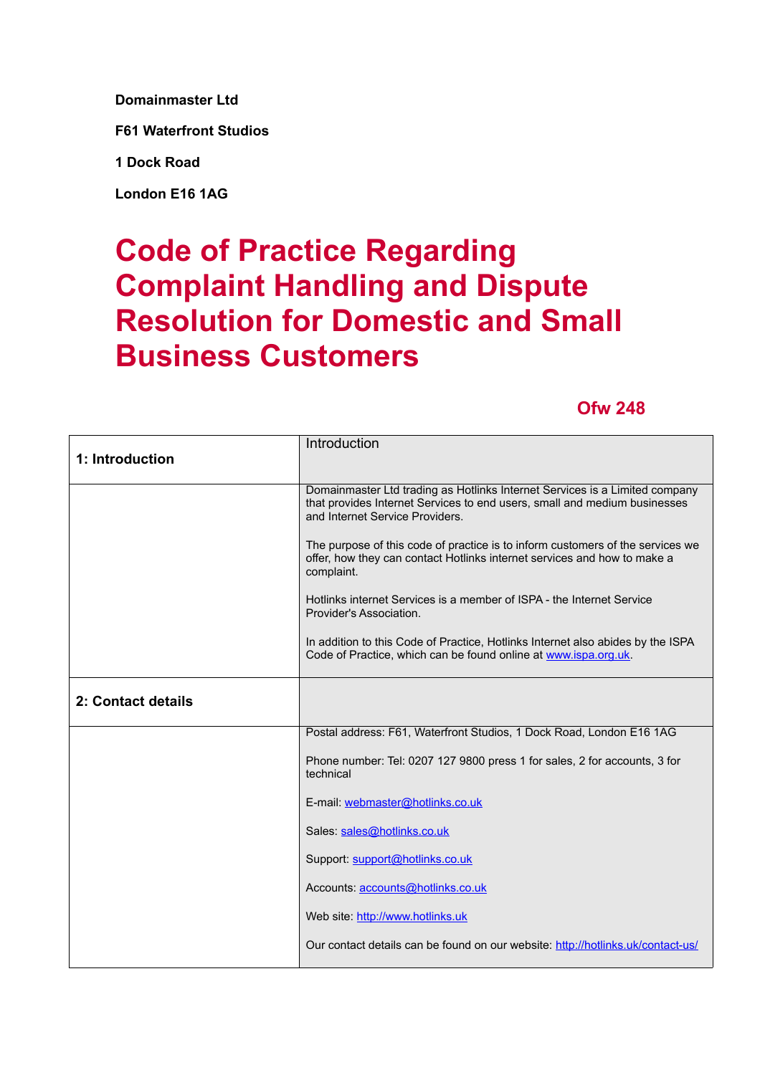**Domainmaster Ltd**

**F61 Waterfront Studios**

**1 Dock Road**

**London E16 1AG**

## **Code of Practice Regarding Complaint Handling and Dispute Resolution for Domestic and Small Business Customers**

## **Ofw 248**

|                    | Introduction                                                                                                                                                                                |
|--------------------|---------------------------------------------------------------------------------------------------------------------------------------------------------------------------------------------|
| 1: Introduction    |                                                                                                                                                                                             |
|                    | Domainmaster Ltd trading as Hotlinks Internet Services is a Limited company<br>that provides Internet Services to end users, small and medium businesses<br>and Internet Service Providers. |
|                    | The purpose of this code of practice is to inform customers of the services we<br>offer, how they can contact Hotlinks internet services and how to make a<br>complaint.                    |
|                    | Hotlinks internet Services is a member of ISPA - the Internet Service<br>Provider's Association.                                                                                            |
|                    | In addition to this Code of Practice, Hotlinks Internet also abides by the ISPA<br>Code of Practice, which can be found online at www.ispa.org.uk.                                          |
| 2: Contact details |                                                                                                                                                                                             |
|                    | Postal address: F61, Waterfront Studios, 1 Dock Road, London E16 1AG                                                                                                                        |
|                    | Phone number: Tel: 0207 127 9800 press 1 for sales, 2 for accounts, 3 for<br>technical                                                                                                      |
|                    | E-mail: webmaster@hotlinks.co.uk                                                                                                                                                            |
|                    | Sales: sales@hotlinks.co.uk                                                                                                                                                                 |
|                    | Support: support@hotlinks.co.uk                                                                                                                                                             |
|                    | Accounts: accounts@hotlinks.co.uk                                                                                                                                                           |
|                    | Web site: http://www.hotlinks.uk                                                                                                                                                            |
|                    | Our contact details can be found on our website: http://hotlinks.uk/contact-us/                                                                                                             |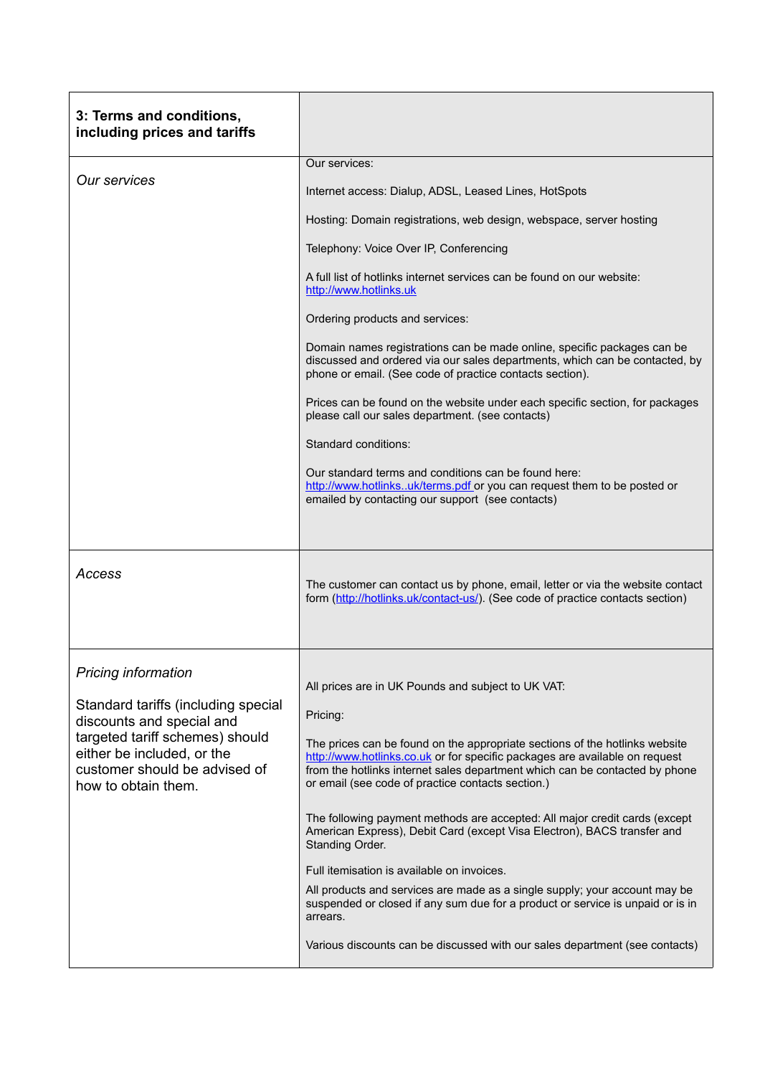| 3: Terms and conditions,<br>including prices and tariffs                                                                                                                                                                |                                                                                                                                                                                                                                                                                                |
|-------------------------------------------------------------------------------------------------------------------------------------------------------------------------------------------------------------------------|------------------------------------------------------------------------------------------------------------------------------------------------------------------------------------------------------------------------------------------------------------------------------------------------|
| <b>Our services</b>                                                                                                                                                                                                     | Our services:                                                                                                                                                                                                                                                                                  |
|                                                                                                                                                                                                                         | Internet access: Dialup, ADSL, Leased Lines, HotSpots                                                                                                                                                                                                                                          |
|                                                                                                                                                                                                                         | Hosting: Domain registrations, web design, webspace, server hosting                                                                                                                                                                                                                            |
|                                                                                                                                                                                                                         | Telephony: Voice Over IP, Conferencing                                                                                                                                                                                                                                                         |
|                                                                                                                                                                                                                         | A full list of hotlinks internet services can be found on our website:<br>http://www.hotlinks.uk                                                                                                                                                                                               |
|                                                                                                                                                                                                                         | Ordering products and services:                                                                                                                                                                                                                                                                |
|                                                                                                                                                                                                                         | Domain names registrations can be made online, specific packages can be<br>discussed and ordered via our sales departments, which can be contacted, by<br>phone or email. (See code of practice contacts section).                                                                             |
|                                                                                                                                                                                                                         | Prices can be found on the website under each specific section, for packages<br>please call our sales department. (see contacts)                                                                                                                                                               |
|                                                                                                                                                                                                                         | Standard conditions:                                                                                                                                                                                                                                                                           |
|                                                                                                                                                                                                                         | Our standard terms and conditions can be found here:<br>http://www.hotlinksuk/terms.pdf or you can request them to be posted or<br>emailed by contacting our support (see contacts)                                                                                                            |
| Access                                                                                                                                                                                                                  | The customer can contact us by phone, email, letter or via the website contact<br>form (http://hotlinks.uk/contact-us/). (See code of practice contacts section)                                                                                                                               |
|                                                                                                                                                                                                                         |                                                                                                                                                                                                                                                                                                |
| <b>Pricing information</b><br>Standard tariffs (including special<br>discounts and special and<br>targeted tariff schemes) should<br>either be included, or the<br>customer should be advised of<br>how to obtain them. | All prices are in UK Pounds and subject to UK VAT:<br>Pricing:                                                                                                                                                                                                                                 |
|                                                                                                                                                                                                                         | The prices can be found on the appropriate sections of the hotlinks website<br>http://www.hotlinks.co.uk or for specific packages are available on request<br>from the hotlinks internet sales department which can be contacted by phone<br>or email (see code of practice contacts section.) |
|                                                                                                                                                                                                                         | The following payment methods are accepted: All major credit cards (except<br>American Express), Debit Card (except Visa Electron), BACS transfer and<br>Standing Order.                                                                                                                       |
|                                                                                                                                                                                                                         | Full itemisation is available on invoices.                                                                                                                                                                                                                                                     |
|                                                                                                                                                                                                                         | All products and services are made as a single supply; your account may be<br>suspended or closed if any sum due for a product or service is unpaid or is in<br>arrears.                                                                                                                       |
|                                                                                                                                                                                                                         | Various discounts can be discussed with our sales department (see contacts)                                                                                                                                                                                                                    |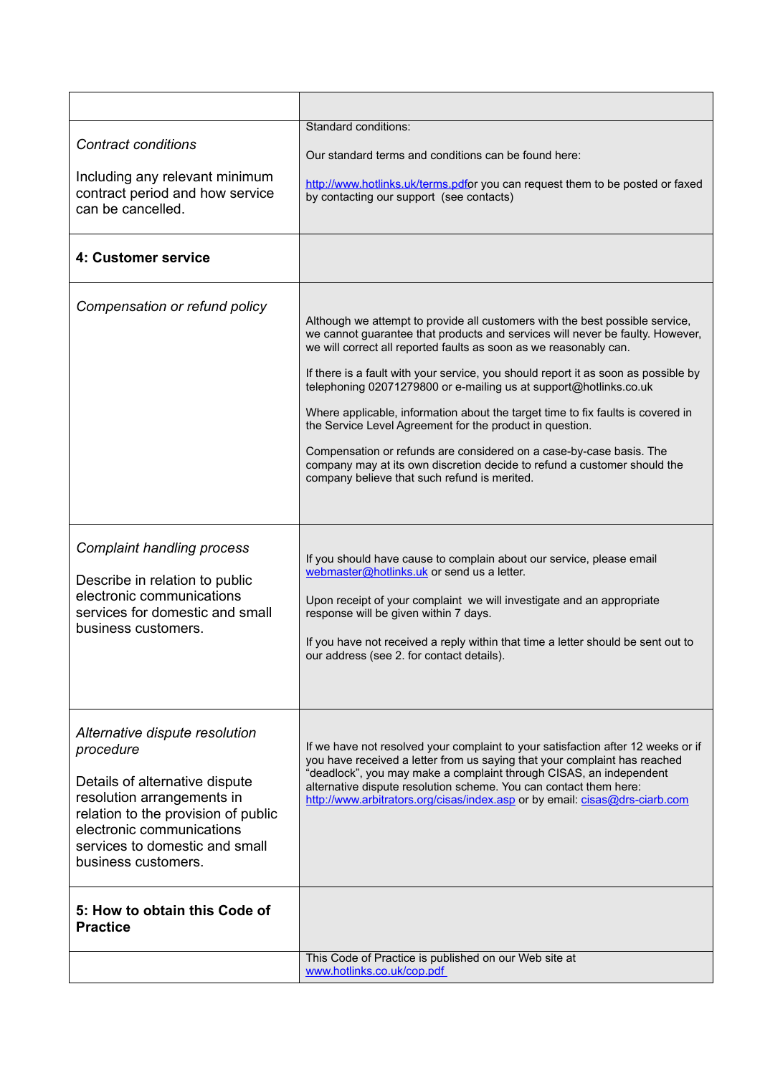| <b>Contract conditions</b><br>Including any relevant minimum<br>contract period and how service<br>can be cancelled.                                                                                                                     | Standard conditions:<br>Our standard terms and conditions can be found here:<br>http://www.hotlinks.uk/terms.pdfor you can request them to be posted or faxed<br>by contacting our support (see contacts)                                                                                                                                                                                                                                                                                                                                                                                                                                                                                                                                       |
|------------------------------------------------------------------------------------------------------------------------------------------------------------------------------------------------------------------------------------------|-------------------------------------------------------------------------------------------------------------------------------------------------------------------------------------------------------------------------------------------------------------------------------------------------------------------------------------------------------------------------------------------------------------------------------------------------------------------------------------------------------------------------------------------------------------------------------------------------------------------------------------------------------------------------------------------------------------------------------------------------|
| 4: Customer service                                                                                                                                                                                                                      |                                                                                                                                                                                                                                                                                                                                                                                                                                                                                                                                                                                                                                                                                                                                                 |
| Compensation or refund policy                                                                                                                                                                                                            | Although we attempt to provide all customers with the best possible service,<br>we cannot guarantee that products and services will never be faulty. However,<br>we will correct all reported faults as soon as we reasonably can.<br>If there is a fault with your service, you should report it as soon as possible by<br>telephoning 02071279800 or e-mailing us at support@hotlinks.co.uk<br>Where applicable, information about the target time to fix faults is covered in<br>the Service Level Agreement for the product in question.<br>Compensation or refunds are considered on a case-by-case basis. The<br>company may at its own discretion decide to refund a customer should the<br>company believe that such refund is merited. |
| <b>Complaint handling process</b><br>Describe in relation to public<br>electronic communications<br>services for domestic and small<br>business customers.                                                                               | If you should have cause to complain about our service, please email<br>webmaster@hotlinks.uk or send us a letter.<br>Upon receipt of your complaint we will investigate and an appropriate<br>response will be given within 7 days.<br>If you have not received a reply within that time a letter should be sent out to<br>our address (see 2. for contact details).                                                                                                                                                                                                                                                                                                                                                                           |
| Alternative dispute resolution<br>procedure<br>Details of alternative dispute<br>resolution arrangements in<br>relation to the provision of public<br>electronic communications<br>services to domestic and small<br>business customers. | If we have not resolved your complaint to your satisfaction after 12 weeks or if<br>you have received a letter from us saying that your complaint has reached<br>"deadlock", you may make a complaint through CISAS, an independent<br>alternative dispute resolution scheme. You can contact them here:<br>http://www.arbitrators.org/cisas/index.asp or by email: cisas@drs-ciarb.com                                                                                                                                                                                                                                                                                                                                                         |
| 5: How to obtain this Code of<br><b>Practice</b>                                                                                                                                                                                         |                                                                                                                                                                                                                                                                                                                                                                                                                                                                                                                                                                                                                                                                                                                                                 |
|                                                                                                                                                                                                                                          | This Code of Practice is published on our Web site at<br>www.hotlinks.co.uk/cop.pdf                                                                                                                                                                                                                                                                                                                                                                                                                                                                                                                                                                                                                                                             |